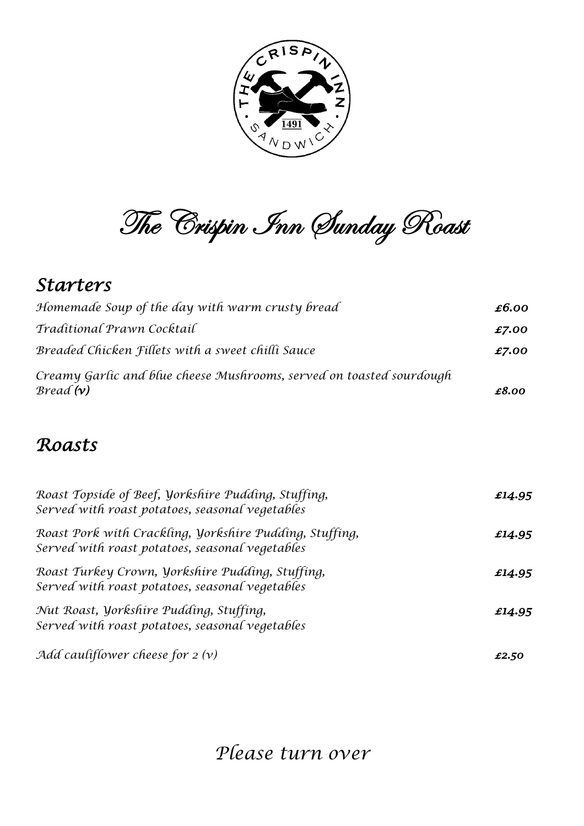

The Crispin Inn Sunday Roast

#### *Starters*

| Homemade Soup of the day with warm crusty bread                                  | £6.00 |
|----------------------------------------------------------------------------------|-------|
| Traditional Prawn Cocktail                                                       | £7.00 |
| Breaded Chicken Fillets with a sweet chilli Sauce                                | £7.00 |
| Creamy Garlic and blue cheese Mushrooms, served on toasted sourdough<br>Bread(v) | £8.00 |

#### *Roasts*

| Roast Topside of Beef, Yorkshire Pudding, Stuffing,<br>Served with roast potatoes, seasonal vegetables     | £14.95 |
|------------------------------------------------------------------------------------------------------------|--------|
| Roast Pork with Crackling, Yorkshire Pudding, Stuffing,<br>Served with roast potatoes, seasonal vegetables | £14.95 |
| Roast Turkey Crown, Yorkshire Pudding, Stuffing,<br>Served with roast potatoes, seasonal vegetables        | £14.95 |
| Nut Roast, Yorkshire Pudding, Stuffing,<br>Served with roast potatoes, seasonal vegetables                 | £14.95 |
| Add cauliflower cheese for $2(v)$                                                                          | £2.50  |

*Please turn over*